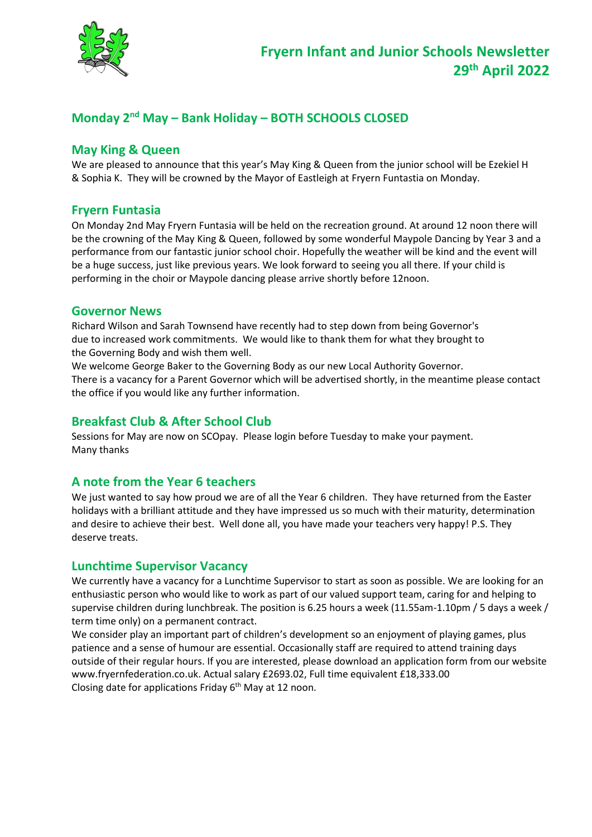

# **Monday 2 nd May – Bank Holiday – BOTH SCHOOLS CLOSED**

### **May King & Queen**

We are pleased to announce that this year's May King & Queen from the junior school will be Ezekiel H & Sophia K. They will be crowned by the Mayor of Eastleigh at Fryern Funtastia on Monday.

#### **Fryern Funtasia**

On Monday 2nd May Fryern Funtasia will be held on the recreation ground. At around 12 noon there will be the crowning of the May King & Queen, followed by some wonderful Maypole Dancing by Year 3 and a performance from our fantastic junior school choir. Hopefully the weather will be kind and the event will be a huge success, just like previous years. We look forward to seeing you all there. If your child is performing in the choir or Maypole dancing please arrive shortly before 12noon.

#### **Governor News**

Richard Wilson and Sarah Townsend have recently had to step down from being Governor's due to increased work commitments. We would like to thank them for what they brought to the Governing Body and wish them well.

We welcome George Baker to the Governing Body as our new Local Authority Governor. There is a vacancy for a Parent Governor which will be advertised shortly, in the meantime please contact the office if you would like any further information.

### **Breakfast Club & After School Club**

Sessions for May are now on SCOpay. Please login before Tuesday to make your payment. Many thanks

# **A note from the Year 6 teachers**

We just wanted to say how proud we are of all the Year 6 children. They have returned from the Easter holidays with a brilliant attitude and they have impressed us so much with their maturity, determination and desire to achieve their best. Well done all, you have made your teachers very happy! P.S. They deserve treats.

#### **Lunchtime Supervisor Vacancy**

We currently have a vacancy for a Lunchtime Supervisor to start as soon as possible. We are looking for an enthusiastic person who would like to work as part of our valued support team, caring for and helping to supervise children during lunchbreak. The position is 6.25 hours a week (11.55am-1.10pm / 5 days a week / term time only) on a permanent contract.

We consider play an important part of children's development so an enjoyment of playing games, plus patience and a sense of humour are essential. Occasionally staff are required to attend training days outside of their regular hours. If you are interested, please download an application form from our website www.fryernfederation.co.uk. Actual salary £2693.02, Full time equivalent £18,333.00 Closing date for applications Friday 6<sup>th</sup> May at 12 noon.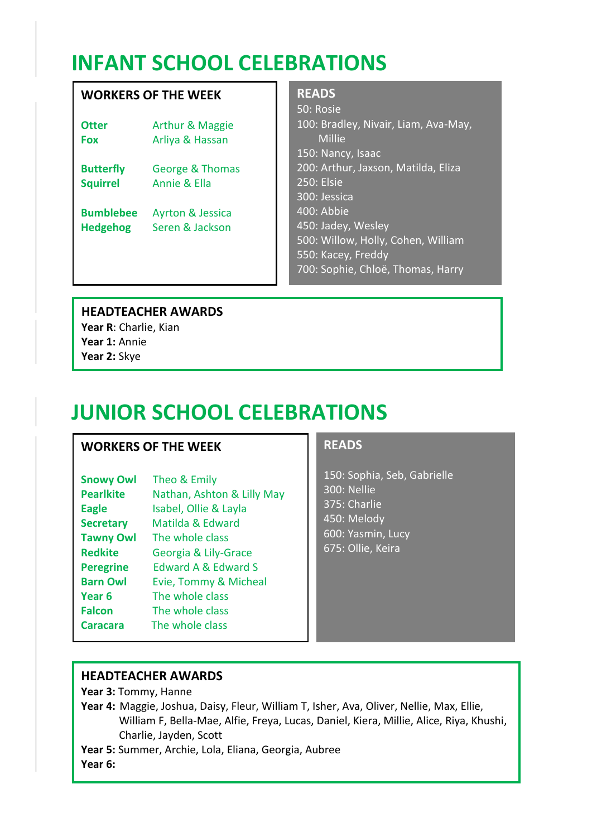# **INFANT SCHOOL CELEBRATIONS**

# **WORKERS OF THE WEEK**

| Otter            | Arthur & Maggie             |
|------------------|-----------------------------|
| <b>Fox</b>       | Arliya & Hassan             |
| <b>Butterfly</b> | <b>George &amp; Thomas</b>  |
| <b>Squirrel</b>  | <b>Annie &amp; Ella</b>     |
| <b>Bumblebee</b> | <b>Ayrton &amp; Jessica</b> |
| <b>Hedgehog</b>  | Seren & Jackson             |

#### **READS**

50: Rosie 100: Bradley, Nivair, Liam, Ava-May, Millie 150: Nancy, Isaac 200: Arthur, Jaxson, Matilda, Eliza 250: Elsie 300: Jessica 400: Abbie 450: Jadey, Wesley 500: Willow, Holly, Cohen, William 550: Kacey, Freddy 700: Sophie, Chloë, Thomas, Harry

# **HEADTEACHER AWARDS**

**Year R**: Charlie, Kian **Year 1:** Annie **Year 2:** Skye

# **JUNIOR SCHOOL CELEBRATIONS**

# **WORKERS OF THE WEEK**

| <b>Snowy Owl</b> | Theo & Emily                   |
|------------------|--------------------------------|
| <b>Pearlkite</b> | Nathan, Ashton & Lilly May     |
| <b>Eagle</b>     | Isabel, Ollie & Layla          |
| <b>Secretary</b> | Matilda & Edward               |
| <b>Tawny Owl</b> | The whole class                |
| <b>Redkite</b>   | Georgia & Lily-Grace           |
| <b>Peregrine</b> | <b>Edward A &amp; Edward S</b> |
| <b>Barn Owl</b>  | Evie, Tommy & Micheal          |
| Year 6           | The whole class                |
| <b>Falcon</b>    | The whole class                |
| <b>Caracara</b>  | The whole class                |

# **READS**

150: Sophia, Seb, Gabrielle 300: Nellie 375: Charlie 450: Melody 600: Yasmin, Lucy 675: Ollie, Keira

# **HEADTEACHER AWARDS**

**Year 3:** Tommy, Hanne

**Year 4:** Maggie, Joshua, Daisy, Fleur, William T, Isher, Ava, Oliver, Nellie, Max, Ellie, William F, Bella-Mae, Alfie, Freya, Lucas, Daniel, Kiera, Millie, Alice, Riya, Khushi, Charlie, Jayden, Scott

**Year 5:** Summer, Archie, Lola, Eliana, Georgia, Aubree

**Year 6:**